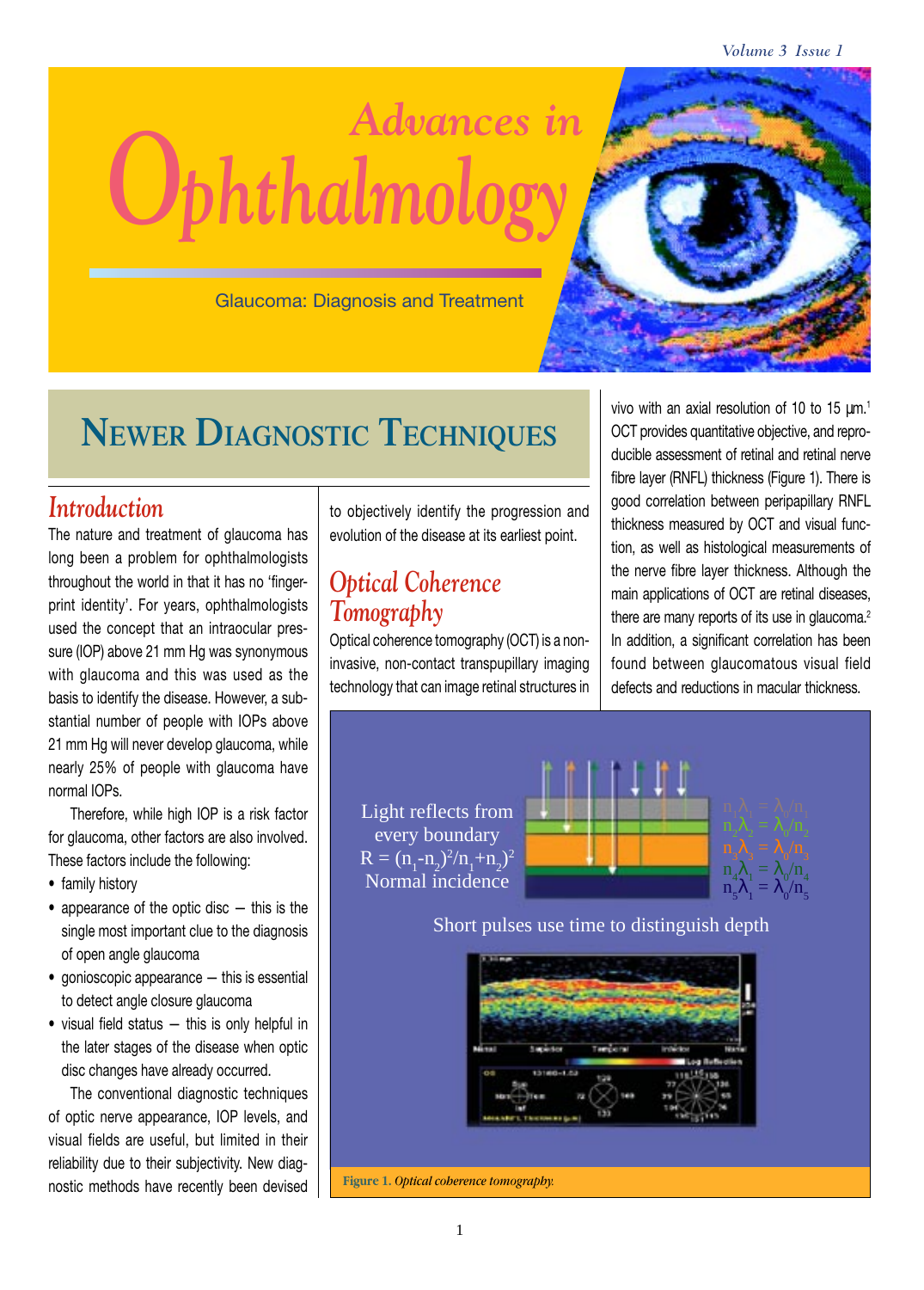*Volume 3 Issue 1*



Glaucoma: Diagnosis and Treatment

# **NEWER DIAGNOSTIC TECHNIQUES**

### *Introduction*

The nature and treatment of glaucoma has long been a problem for ophthalmologists throughout the world in that it has no 'fingerprint identity'. For years, ophthalmologists used the concept that an intraocular pressure (IOP) above 21 mm Hg was synonymous with glaucoma and this was used as the basis to identify the disease. However, a substantial number of people with IOPs above 21 mm Hg will never develop glaucoma, while nearly 25% of people with glaucoma have normal IOPs.

Therefore, while high IOP is a risk factor for glaucoma, other factors are also involved. These factors include the following:

- family history
- appearance of the optic disc this is the single most important clue to the diagnosis of open angle glaucoma
- gonioscopic appearance this is essential to detect angle closure glaucoma
- visual field status this is only helpful in the later stages of the disease when optic disc changes have already occurred.

The conventional diagnostic techniques of optic nerve appearance, IOP levels, and visual fields are useful, but limited in their reliability due to their subjectivity. New diagnostic methods have recently been devised to objectively identify the progression and evolution of the disease at its earliest point.

## *Optical Coherence Tomography*

Optical coherence tomography (OCT) is a noninvasive, non-contact transpupillary imaging technology that can image retinal structures in

vivo with an axial resolution of 10 to 15  $\mu$ m.<sup>1</sup> OCT provides quantitative objective, and reproducible assessment of retinal and retinal nerve fibre layer (RNFL) thickness (Figure 1). There is good correlation between peripapillary RNFL thickness measured by OCT and visual function, as well as histological measurements of the nerve fibre layer thickness. Although the main applications of OCT are retinal diseases, there are many reports of its use in glaucoma.<sup>2</sup> In addition, a significant correlation has been found between glaucomatous visual field defects and reductions in macular thickness.

Light reflects from every boundary  $R = (n_1 - n_2)^2/n_1 + n_2^2$ Normal incidence



Short pulses use time to distinguish depth

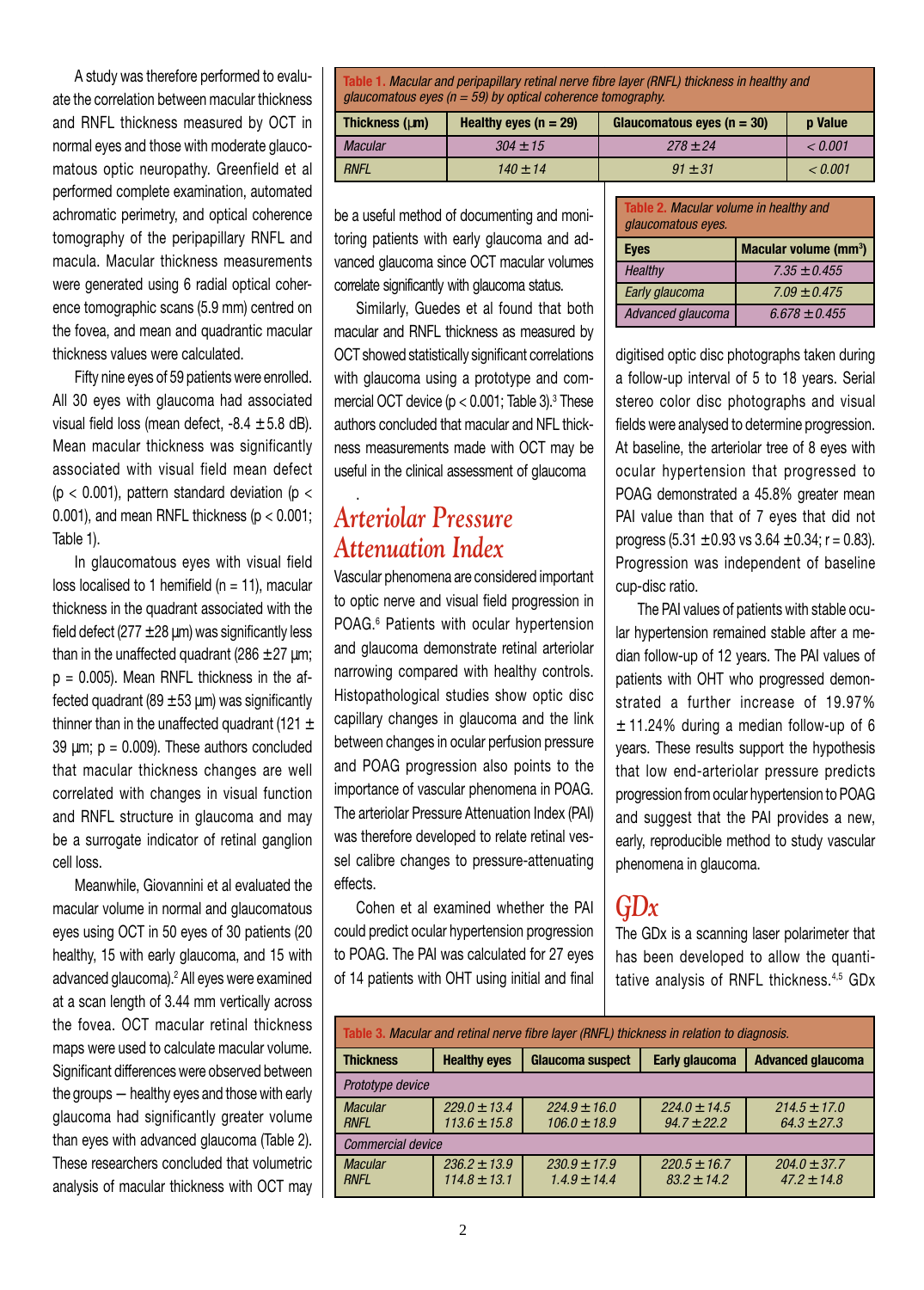A study was therefore performed to evaluate the correlation between macular thickness and RNFL thickness measured by OCT in normal eyes and those with moderate glaucomatous optic neuropathy. Greenfield et al performed complete examination, automated achromatic perimetry, and optical coherence tomography of the peripapillary RNFL and macula. Macular thickness measurements were generated using 6 radial optical coherence tomographic scans (5.9 mm) centred on the fovea, and mean and quadrantic macular thickness values were calculated.

Fifty nine eyes of 59 patients were enrolled. All 30 eyes with glaucoma had associated visual field loss (mean defect,  $-8.4 \pm 5.8$  dB). Mean macular thickness was significantly associated with visual field mean defect ( $p < 0.001$ ), pattern standard deviation ( $p <$ 0.001), and mean RNFL thickness ( $p < 0.001$ ; Table 1).

In glaucomatous eyes with visual field loss localised to 1 hemifield ( $n = 11$ ), macular thickness in the quadrant associated with the field defect ( $277 \pm 28$  µm) was significantly less than in the unaffected quadrant ( $286 \pm 27$  µm;  $p = 0.005$ ). Mean RNFL thickness in the affected quadrant (89  $\pm$  53 µm) was significantly thinner than in the unaffected quadrant (121  $\pm$ 39  $\mu$ m; p = 0.009). These authors concluded that macular thickness changes are well correlated with changes in visual function and RNFL structure in glaucoma and may be a surrogate indicator of retinal ganglion cell loss.

Meanwhile, Giovannini et al evaluated the macular volume in normal and glaucomatous eyes using OCT in 50 eyes of 30 patients (20 healthy, 15 with early glaucoma, and 15 with advanced glaucoma).2 All eyes were examined at a scan length of 3.44 mm vertically across the fovea. OCT macular retinal thickness maps were used to calculate macular volume. Significant differences were observed between the groups — healthy eyes and those with early glaucoma had significantly greater volume than eyes with advanced glaucoma (Table 2). These researchers concluded that volumetric analysis of macular thickness with OCT may

**Table 1.** Macular and peripapillary retinal nerve fibre layer (RNFL) thickness in healthy and glaucomatous eyes ( $n = 59$ ) by optical coherence tomography.

| Thickness (um) | Healthy eyes $(n = 29)$ | Glaucomatous eyes ( $n = 30$ ) | <b>p</b> Value |  |
|----------------|-------------------------|--------------------------------|----------------|--|
| <b>Macular</b> | $304 \pm 15$            | $278 \pm 24$                   | $<$ 0.001 $\,$ |  |
| <b>RNFL</b>    | $140 \pm 14$            | $.91 + .31$                    | < 0.001        |  |

be a useful method of documenting and monitoring patients with early glaucoma and advanced glaucoma since OCT macular volumes correlate significantly with glaucoma status.

Similarly, Guedes et al found that both macular and RNFL thickness as measured by OCT showed statistically significant correlations with glaucoma using a prototype and commercial OCT device (p  $<$  0.001; Table 3). $^{\rm 3}$  These authors concluded that macular and NFL thickness measurements made with OCT may be useful in the clinical assessment of glaucoma

## *Arteriolar Pressure Attenuation Index*

.

Vascular phenomena are considered important to optic nerve and visual field progression in POAG.<sup>6</sup> Patients with ocular hypertension and glaucoma demonstrate retinal arteriolar narrowing compared with healthy controls. Histopathological studies show optic disc capillary changes in glaucoma and the link between changes in ocular perfusion pressure and POAG progression also points to the importance of vascular phenomena in POAG. The arteriolar Pressure Attenuation Index (PAI) was therefore developed to relate retinal vessel calibre changes to pressure-attenuating effects.

Cohen et al examined whether the PAI could predict ocular hypertension progression to POAG. The PAI was calculated for 27 eyes of 14 patients with OHT using initial and final

| Table 2. Macular volume in healthy and<br>glaucomatous eyes. |                   |  |
|--------------------------------------------------------------|-------------------|--|
| Macular volume ( $mm3$ )<br><b>Eyes</b>                      |                   |  |
| <b>Healthy</b>                                               | $7.35 \pm 0.455$  |  |
| Early glaucoma                                               | $7.09 \pm 0.475$  |  |
| Advanced glaucoma                                            | $6.678 \pm 0.455$ |  |

digitised optic disc photographs taken during a follow-up interval of 5 to 18 years. Serial stereo color disc photographs and visual fields were analysed to determine progression. At baseline, the arteriolar tree of 8 eyes with ocular hypertension that progressed to POAG demonstrated a 45.8% greater mean PAI value than that of 7 eyes that did not progress  $(5.31 \pm 0.93 \text{ vs } 3.64 \pm 0.34 \text{ ; } r = 0.83)$ . Progression was independent of baseline cup-disc ratio.

The PAI values of patients with stable ocular hypertension remained stable after a median follow-up of 12 years. The PAI values of patients with OHT who progressed demonstrated a further increase of 19.97%  $±$  11.24% during a median follow-up of 6 years. These results support the hypothesis that low end-arteriolar pressure predicts progression from ocular hypertension to POAG and suggest that the PAI provides a new, early, reproducible method to study vascular phenomena in glaucoma.

# *GDx*

The GDx is a scanning laser polarimeter that has been developed to allow the quantitative analysis of RNFL thickness.4,5 GDx

| Table 3. Macular and retinal nerve fibre layer (RNFL) thickness in relation to diagnosis. |                                      |                                      |                                     |                                     |
|-------------------------------------------------------------------------------------------|--------------------------------------|--------------------------------------|-------------------------------------|-------------------------------------|
| <b>Thickness</b>                                                                          | <b>Healthy eyes</b>                  | <b>Glaucoma suspect</b>              | <b>Early glaucoma</b>               | <b>Advanced glaucoma</b>            |
| Prototype device                                                                          |                                      |                                      |                                     |                                     |
| <b>Macular</b><br><b>RNFL</b>                                                             | $229.0 \pm 13.4$<br>$113.6 \pm 15.8$ | $224.9 \pm 16.0$<br>$106.0 \pm 18.9$ | $224.0 \pm 14.5$<br>$94.7 \pm 22.2$ | $214.5 \pm 17.0$<br>$64.3 \pm 27.3$ |
| Commercial device                                                                         |                                      |                                      |                                     |                                     |
| <b>Macular</b><br><b>RNFL</b>                                                             | $236.2 \pm 13.9$<br>$114.8 \pm 13.1$ | $230.9 \pm 17.9$<br>$1.4.9 \pm 14.4$ | $220.5 \pm 16.7$<br>$83.2 \pm 14.2$ | $204.0 \pm 37.7$<br>$47.2 \pm 14.8$ |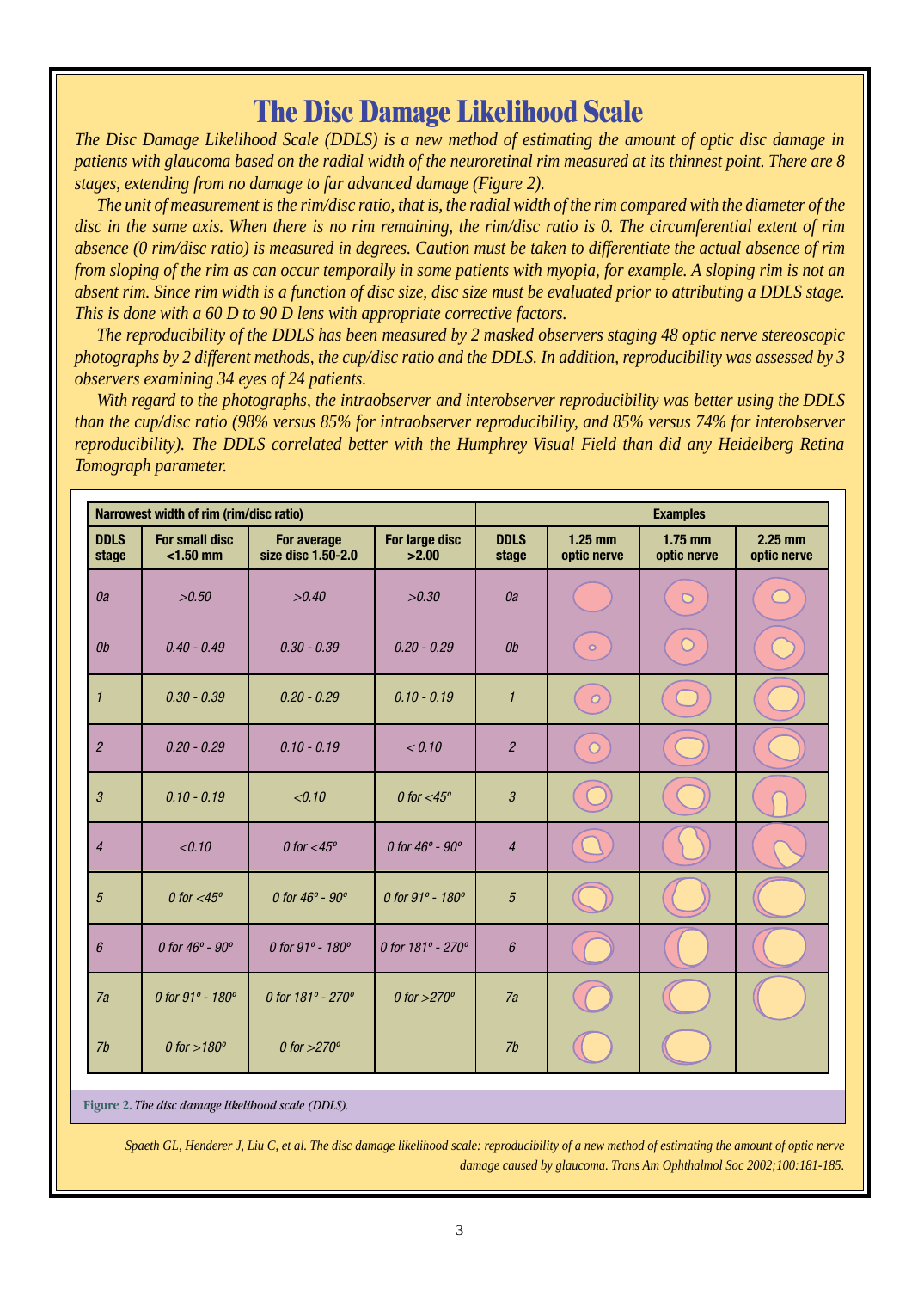# **The Disc Damage Likelihood Scale**

*The Disc Damage Likelihood Scale (DDLS) is a new method of estimating the amount of optic disc damage in patients with glaucoma based on the radial width of the neuroretinal rim measured at its thinnest point. There are 8 stages, extending from no damage to far advanced damage (Figure 2).*

*The unit of measurement is the rim/disc ratio, that is, the radial width of the rim compared with the diameter of the disc in the same axis. When there is no rim remaining, the rim/disc ratio is 0. The circumferential extent of rim absence (0 rim/disc ratio) is measured in degrees. Caution must be taken to differentiate the actual absence of rim from sloping of the rim as can occur temporally in some patients with myopia, for example. A sloping rim is not an absent rim. Since rim width is a function of disc size, disc size must be evaluated prior to attributing a DDLS stage. This is done with a 60 D to 90 D lens with appropriate corrective factors.*

*The reproducibility of the DDLS has been measured by 2 masked observers staging 48 optic nerve stereoscopic photographs by 2 different methods, the cup/disc ratio and the DDLS. In addition, reproducibility was assessed by 3 observers examining 34 eyes of 24 patients.*

*With regard to the photographs, the intraobserver and interobserver reproducibility was better using the DDLS than the cup/disc ratio (98% versus 85% for intraobserver reproducibility, and 85% versus 74% for interobserver reproducibility). The DDLS correlated better with the Humphrey Visual Field than did any Heidelberg Retina Tomograph parameter.*

| Narrowest width of rim (rim/disc ratio) |                                      |                                   | <b>Examples</b>                   |                      |                          |                          |                          |
|-----------------------------------------|--------------------------------------|-----------------------------------|-----------------------------------|----------------------|--------------------------|--------------------------|--------------------------|
| <b>DDLS</b><br>stage                    | <b>For small disc</b><br>$<$ 1.50 mm | For average<br>size disc 1.50-2.0 | For large disc<br>>2.00           | <b>DDLS</b><br>stage | $1.25$ mm<br>optic nerve | $1.75$ mm<br>optic nerve | $2.25$ mm<br>optic nerve |
| 0a                                      | >0.50                                | >0.40                             | >0.30                             | 0a                   |                          | $\overline{O}$           |                          |
| 0 <sub>b</sub>                          | $0.40 - 0.49$                        | $0.30 - 0.39$                     | $0.20 - 0.29$                     | 0 <sub>b</sub>       | $\circ$                  |                          |                          |
| $\mathcal{I}$                           | $0.30 - 0.39$                        | $0.20 - 0.29$                     | $0.10 - 0.19$                     | $\mathcal{I}$        | $\overline{O}$           |                          |                          |
| $\overline{2}$                          | $0.20 - 0.29$                        | $0.10 - 0.19$                     | < 0.10                            | $\overline{2}$       | $\circ$                  |                          |                          |
| $\mathfrak{z}$                          | $0.10 - 0.19$                        | < 0.10                            | 0 for $<$ 45 $^{\circ}$           | $\mathfrak{Z}$       |                          |                          |                          |
| $\overline{4}$                          | < 0.10                               | 0 for $<$ 45 $^{\circ}$           | 0 for $46^{\circ}$ - $90^{\circ}$ | $\overline{4}$       |                          |                          |                          |
| $\sqrt{5}$                              | 0 for $<$ 45 $^{\circ}$              | 0 for $46^{\circ}$ - $90^{\circ}$ | 0 for 91° - 180°                  | $\sqrt{5}$           |                          |                          |                          |
| $6\overline{6}$                         | 0 for $46^{\circ}$ - $90^{\circ}$    | 0 for 91° - 180°                  | 0 for 181° - 270°                 | 6                    |                          |                          |                          |
| 7a                                      | 0 for 91° - 180°                     | 0 for 181° - 270°                 | 0 for $>270^\circ$                | 7a                   |                          |                          |                          |
| 7b                                      | 0 for $>180^\circ$                   | 0 for $>270^\circ$                |                                   | 7b                   |                          |                          |                          |

**Figure 2.** *The disc damage likelihood scale (DDLS).*

*Spaeth GL, Henderer J, Liu C, et al. The disc damage likelihood scale: reproducibility of a new method of estimating the amount of optic nerve damage caused by glaucoma. Trans Am Ophthalmol Soc 2002;100:181-185.*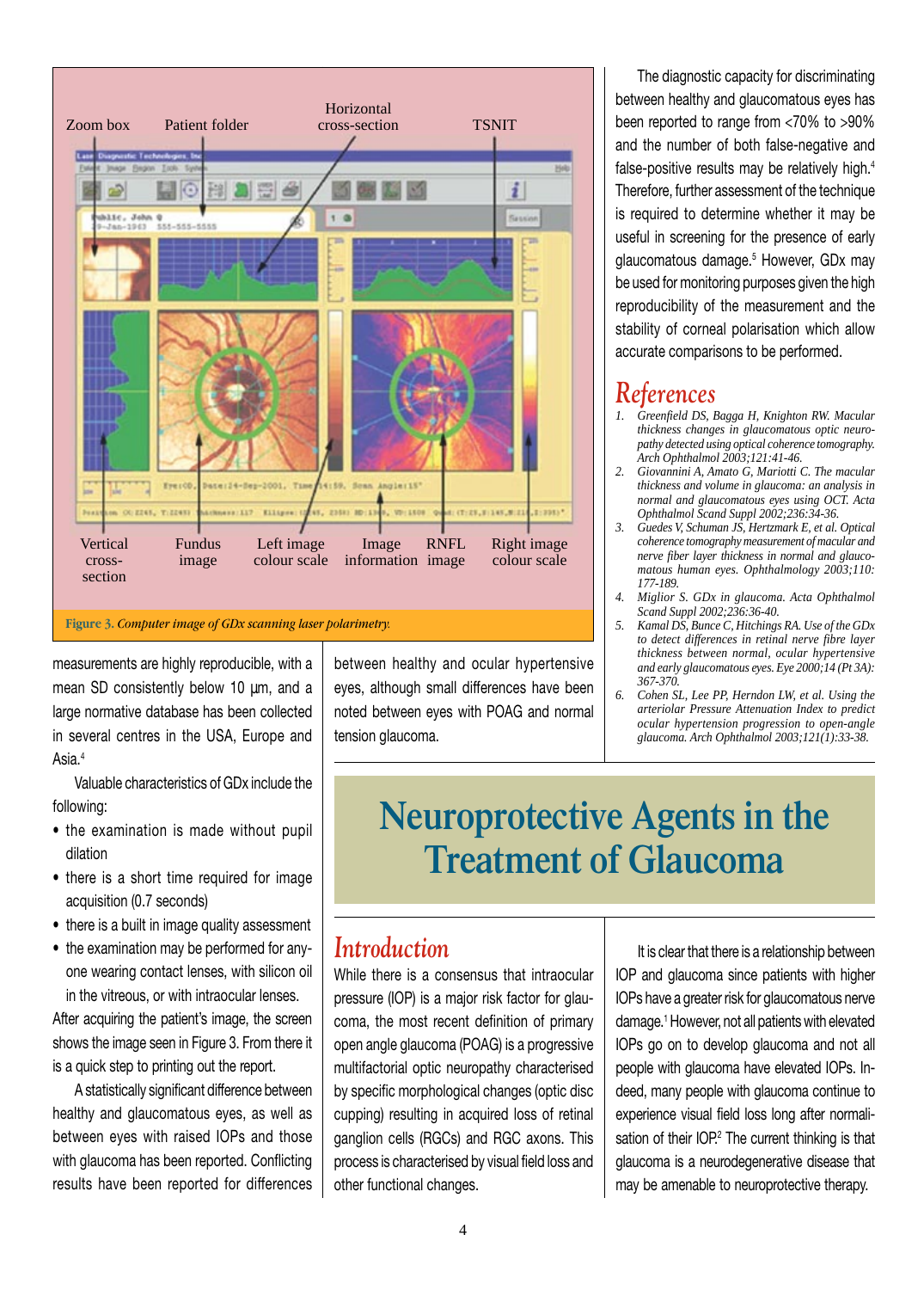

measurements are highly reproducible, with a mean SD consistently below 10 µm, and a large normative database has been collected in several centres in the USA, Europe and Asia.<sup>4</sup>

Valuable characteristics of GDx include the following:

- the examination is made without pupil dilation
- there is a short time required for image acquisition (0.7 seconds)
- there is a built in image quality assessment
- the examination may be performed for anyone wearing contact lenses, with silicon oil in the vitreous, or with intraocular lenses.

After acquiring the patient's image, the screen shows the image seen in Figure 3. From there it is a quick step to printing out the report.

A statistically significant difference between healthy and glaucomatous eyes, as well as between eyes with raised IOPs and those with glaucoma has been reported. Conflicting results have been reported for differences

between healthy and ocular hypertensive eyes, although small differences have been noted between eyes with POAG and normal tension glaucoma.

The diagnostic capacity for discriminating between healthy and glaucomatous eyes has been reported to range from <70% to >90% and the number of both false-negative and false-positive results may be relatively high.<sup>4</sup> Therefore, further assessment of the technique is required to determine whether it may be useful in screening for the presence of early glaucomatous damage.<sup>5</sup> However, GDx may be used for monitoring purposes given the high reproducibility of the measurement and the stability of corneal polarisation which allow accurate comparisons to be performed.

### *References*

- *1. Greenfield DS, Bagga H, Knighton RW. Macular thickness changes in glaucomatous optic neuropathy detected using optical coherence tomography. Arch Ophthalmol 2003;121:41-46.*
- *2. Giovannini A, Amato G, Mariotti C. The macular thickness and volume in glaucoma: an analysis in normal and glaucomatous eyes using OCT. Acta Ophthalmol Scand Suppl 2002;236:34-36.*
- *3. Guedes V, Schuman JS, Hertzmark E, et al. Optical coherence tomography measurement of macular and nerve fiber layer thickness in normal and glaucomatous human eyes. Ophthalmology 2003;110: 177-189.*
- *4. Miglior S. GDx in glaucoma. Acta Ophthalmol Scand Suppl 2002;236:36-40.*
- *5. Kamal DS, Bunce C, Hitchings RA. Use of the GDx to detect differences in retinal nerve fibre layer thickness between normal, ocular hypertensive and early glaucomatous eyes. Eye 2000;14 (Pt 3A): 367-370.*
- *6. Cohen SL, Lee PP, Herndon LW, et al. Using the arteriolar Pressure Attenuation Index to predict ocular hypertension progression to open-angle glaucoma. Arch Ophthalmol 2003;121(1):33-38.*

# **Neuroprotective Agents in the Treatment of Glaucoma**

### *Introduction*

While there is a consensus that intraocular pressure (IOP) is a major risk factor for glaucoma, the most recent definition of primary open angle glaucoma (POAG) is a progressive multifactorial optic neuropathy characterised by specific morphological changes (optic disc cupping) resulting in acquired loss of retinal ganglion cells (RGCs) and RGC axons. This process is characterised by visual field loss and other functional changes.

It is clear that there is a relationship between IOP and glaucoma since patients with higher IOPs have a greater risk for glaucomatous nerve damage.1 However, not all patients with elevated IOPs go on to develop glaucoma and not all people with glaucoma have elevated IOPs. Indeed, many people with glaucoma continue to experience visual field loss long after normalisation of their IOP.<sup>2</sup> The current thinking is that glaucoma is a neurodegenerative disease that may be amenable to neuroprotective therapy.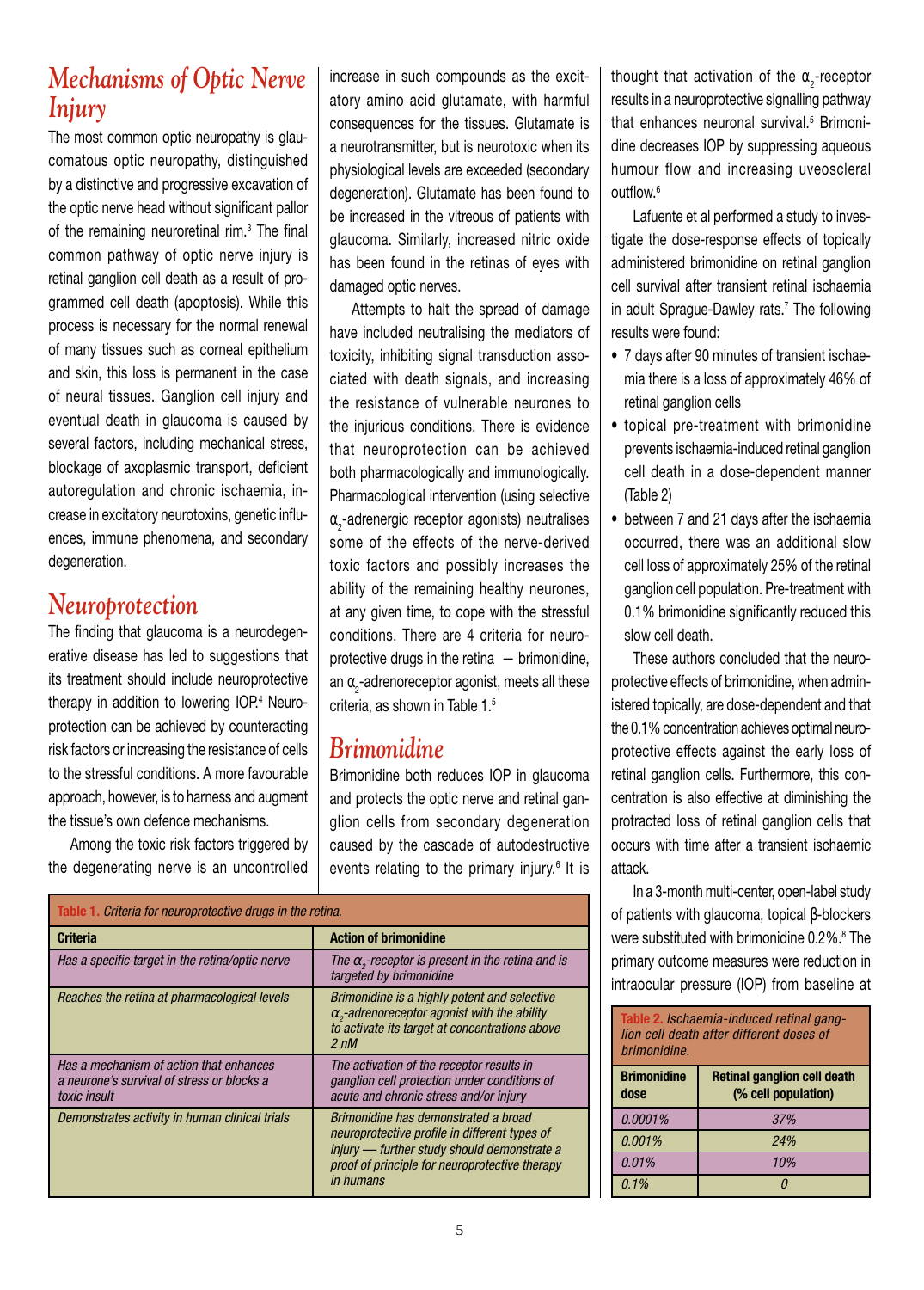# *Mechanisms of Optic Nerve Injury*

The most common optic neuropathy is glaucomatous optic neuropathy, distinguished by a distinctive and progressive excavation of the optic nerve head without significant pallor of the remaining neuroretinal rim.<sup>3</sup> The final common pathway of optic nerve injury is retinal ganglion cell death as a result of programmed cell death (apoptosis). While this process is necessary for the normal renewal of many tissues such as corneal epithelium and skin, this loss is permanent in the case of neural tissues. Ganglion cell injury and eventual death in glaucoma is caused by several factors, including mechanical stress, blockage of axoplasmic transport, deficient autoregulation and chronic ischaemia, increase in excitatory neurotoxins, genetic influences, immune phenomena, and secondary degeneration.

# *Neuroprotection*

The finding that glaucoma is a neurodegenerative disease has led to suggestions that its treatment should include neuroprotective therapy in addition to lowering IOP.<sup>4</sup> Neuroprotection can be achieved by counteracting risk factors or increasing the resistance of cells to the stressful conditions. A more favourable approach, however, is to harness and augment the tissue's own defence mechanisms.

Among the toxic risk factors triggered by the degenerating nerve is an uncontrolled increase in such compounds as the excitatory amino acid glutamate, with harmful consequences for the tissues. Glutamate is a neurotransmitter, but is neurotoxic when its physiological levels are exceeded (secondary degeneration). Glutamate has been found to be increased in the vitreous of patients with glaucoma. Similarly, increased nitric oxide has been found in the retinas of eyes with damaged optic nerves.

Attempts to halt the spread of damage have included neutralising the mediators of toxicity, inhibiting signal transduction associated with death signals, and increasing the resistance of vulnerable neurones to the injurious conditions. There is evidence that neuroprotection can be achieved both pharmacologically and immunologically. Pharmacological intervention (using selective  $\alpha$ -adrenergic receptor agonists) neutralises some of the effects of the nerve-derived toxic factors and possibly increases the ability of the remaining healthy neurones, at any given time, to cope with the stressful conditions. There are 4 criteria for neuroprotective drugs in the retina — brimonidine, an  $\alpha_{_2}$ -adrenoreceptor agonist, meets all these criteria, as shown in Table 1.5

### *Brimonidine*

Brimonidine both reduces IOP in glaucoma and protects the optic nerve and retinal ganglion cells from secondary degeneration caused by the cascade of autodestructive events relating to the primary injury.<sup>6</sup> It is

| Table 1. Criteria for neuroprotective drugs in the retina.                                            |                                                                                                                                                                                                            |  |
|-------------------------------------------------------------------------------------------------------|------------------------------------------------------------------------------------------------------------------------------------------------------------------------------------------------------------|--|
| <b>Criteria</b>                                                                                       | <b>Action of brimonidine</b>                                                                                                                                                                               |  |
| Has a specific target in the retina/optic nerve                                                       | The $\alpha$ -receptor is present in the retina and is<br>targeted by brimonidine                                                                                                                          |  |
| Reaches the retina at pharmacological levels                                                          | Brimonidine is a highly potent and selective<br>$\alpha$ <sub>2</sub> -adrenoreceptor agonist with the ability<br>to activate its target at concentrations above<br>$2 \, \text{nM}$                       |  |
| Has a mechanism of action that enhances<br>a neurone's survival of stress or blocks a<br>toxic insult | The activation of the receptor results in<br>ganglion cell protection under conditions of<br>acute and chronic stress and/or injury                                                                        |  |
| Demonstrates activity in human clinical trials                                                        | Brimonidine has demonstrated a broad<br>neuroprotective profile in different types of<br>injury - further study should demonstrate a<br>proof of principle for neuroprotective therapy<br><i>in humans</i> |  |

thought that activation of the  $\alpha$ -receptor results in a neuroprotective signalling pathway that enhances neuronal survival.<sup>5</sup> Brimonidine decreases IOP by suppressing aqueous humour flow and increasing uveoscleral outflow.6

Lafuente et al performed a study to investigate the dose-response effects of topically administered brimonidine on retinal ganglion cell survival after transient retinal ischaemia in adult Sprague-Dawley rats.<sup>7</sup> The following results were found:

- 7 days after 90 minutes of transient ischaemia there is a loss of approximately 46% of retinal ganglion cells
- topical pre-treatment with brimonidine prevents ischaemia-induced retinal ganglion cell death in a dose-dependent manner (Table 2)
- between 7 and 21 days after the ischaemia occurred, there was an additional slow cell loss of approximately 25% of the retinal ganglion cell population. Pre-treatment with 0.1% brimonidine significantly reduced this slow cell death.

These authors concluded that the neuroprotective effects of brimonidine, when administered topically, are dose-dependent and that the 0.1% concentration achieves optimal neuroprotective effects against the early loss of retinal ganglion cells. Furthermore, this concentration is also effective at diminishing the protracted loss of retinal ganglion cells that occurs with time after a transient ischaemic attack.

In a 3-month multi-center, open-label study of patients with glaucoma, topical β-blockers were substituted with brimonidine 0.2%.<sup>8</sup> The primary outcome measures were reduction in intraocular pressure (IOP) from baseline at

| Table 2. Ischaemia-induced retinal gang-<br>lion cell death after different doses of<br>brimonidine. |                                                           |  |
|------------------------------------------------------------------------------------------------------|-----------------------------------------------------------|--|
| <b>Brimonidine</b><br>dose                                                                           | <b>Retinal ganglion cell death</b><br>(% cell population) |  |
| 0.0001%                                                                                              | 37%                                                       |  |
| 0.001%                                                                                               | 24%                                                       |  |
| 0.01%                                                                                                | 10%                                                       |  |
| $0.1\%$                                                                                              |                                                           |  |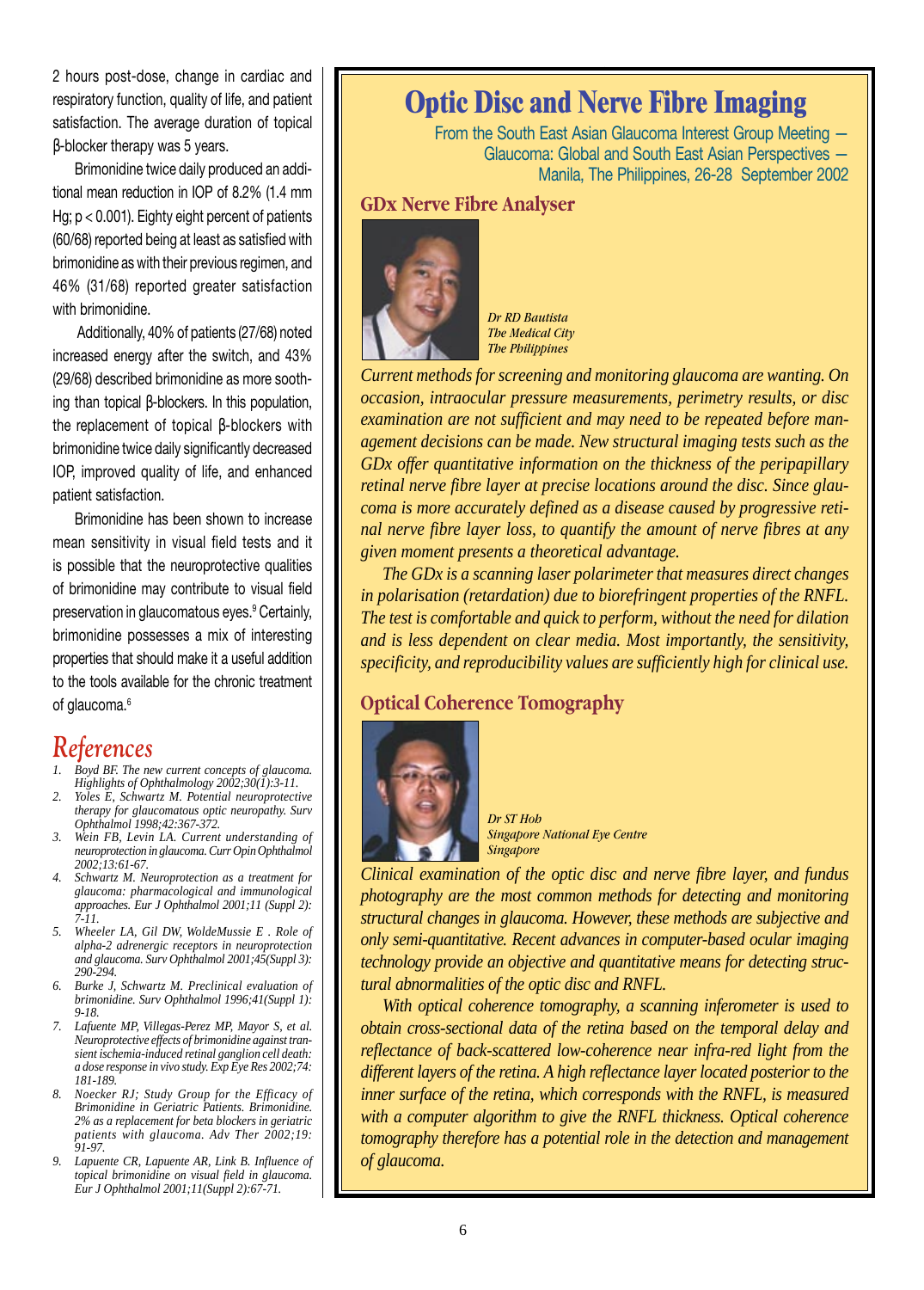2 hours post-dose, change in cardiac and respiratory function, quality of life, and patient satisfaction. The average duration of topical β-blocker therapy was 5 years.

Brimonidine twice daily produced an additional mean reduction in IOP of 8.2% (1.4 mm Hg;  $p < 0.001$ ). Eighty eight percent of patients (60/68) reported being at least as satisfied with brimonidine as with their previous regimen, and 46% (31/68) reported greater satisfaction with brimonidine.

Additionally, 40% of patients (27/68) noted increased energy after the switch, and 43% (29/68) described brimonidine as more soothing than topical β-blockers. In this population, the replacement of topical β-blockers with brimonidine twice daily significantly decreased IOP, improved quality of life, and enhanced patient satisfaction.

Brimonidine has been shown to increase mean sensitivity in visual field tests and it is possible that the neuroprotective qualities of brimonidine may contribute to visual field preservation in glaucomatous eyes.<sup>9</sup> Certainly, brimonidine possesses a mix of interesting properties that should make it a useful addition to the tools available for the chronic treatment of glaucoma.<sup>6</sup>

#### *References*

- *1. Boyd BF. The new current concepts of glaucoma. Highlights of Ophthalmology 2002;30(1):3-11.*
- *2. Yoles E, Schwartz M. Potential neuroprotective therapy for glaucomatous optic neuropathy. Surv Ophthalmol 1998;42:367-372.*
- *3. Wein FB, Levin LA. Current understanding of neuroprotection in glaucoma. Curr Opin Ophthalmol 2002;13:61-67.*
- *4. Schwartz M. Neuroprotection as a treatment for glaucoma: pharmacological and immunological approaches. Eur J Ophthalmol 2001;11 (Suppl 2): 7-11.*
- *5. Wheeler LA, Gil DW, WoldeMussie E . Role of alpha-2 adrenergic receptors in neuroprotection and glaucoma. Surv Ophthalmol 2001;45(Suppl 3): 290-294.*
- *6. Burke J, Schwartz M. Preclinical evaluation of brimonidine. Surv Ophthalmol 1996;41(Suppl 1): 9-18.*
- *7. Lafuente MP, Villegas-Perez MP, Mayor S, et al. Neuroprotective effects of brimonidine against transient ischemia-induced retinal ganglion cell death: a dose response in vivo study. Exp Eye Res 2002;74: 181-189.*
- *8. Noecker RJ; Study Group for the Efficacy of Brimonidine in Geriatric Patients. Brimonidine. 2% as a replacement for beta blockers in geriatric patients with glaucoma. Adv Ther 2002;19: 91-97.*
- *9. Lapuente CR, Lapuente AR, Link B. Influence of topical brimonidine on visual field in glaucoma. Eur J Ophthalmol 2001;11(Suppl 2):67-71.*

# **Optic Disc and Nerve Fibre Imaging**

From the South East Asian Glaucoma Interest Group Meeting — Glaucoma: Global and South East Asian Perspectives — Manila, The Philippines, 26-28 September 2002

#### **GDx Nerve Fibre Analyser**



*Dr RD Bautista The Medical City The Philippines*

*Current methods for screening and monitoring glaucoma are wanting. On occasion, intraocular pressure measurements, perimetry results, or disc examination are not sufficient and may need to be repeated before management decisions can be made. New structural imaging tests such as the GDx offer quantitative information on the thickness of the peripapillary retinal nerve fibre layer at precise locations around the disc. Since glaucoma is more accurately defined as a disease caused by progressive retinal nerve fibre layer loss, to quantify the amount of nerve fibres at any given moment presents a theoretical advantage.*

*The GDx is a scanning laser polarimeter that measures direct changes in polarisation (retardation) due to biorefringent properties of the RNFL. The test is comfortable and quick to perform, without the need for dilation and is less dependent on clear media. Most importantly, the sensitivity, specificity, and reproducibility values are sufficiently high for clinical use.*

#### **Optical Coherence Tomography**



*Dr ST Hoh Singapore National Eye Centre Singapore*

*Clinical examination of the optic disc and nerve fibre layer, and fundus photography are the most common methods for detecting and monitoring structural changes in glaucoma. However, these methods are subjective and only semi-quantitative. Recent advances in computer-based ocular imaging technology provide an objective and quantitative means for detecting structural abnormalities of the optic disc and RNFL.*

*With optical coherence tomography, a scanning inferometer is used to obtain cross-sectional data of the retina based on the temporal delay and reflectance of back-scattered low-coherence near infra-red light from the different layers of the retina. A high reflectance layer located posterior to the inner surface of the retina, which corresponds with the RNFL, is measured with a computer algorithm to give the RNFL thickness. Optical coherence tomography therefore has a potential role in the detection and management of glaucoma.*